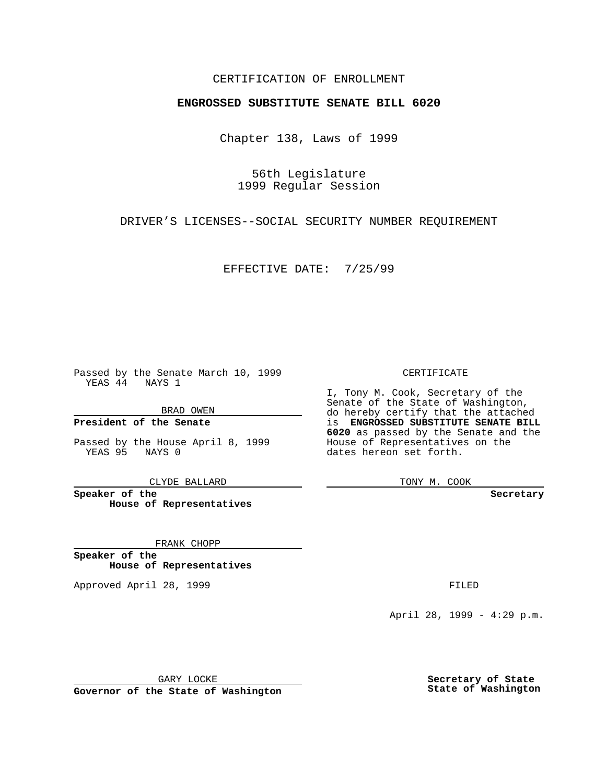## CERTIFICATION OF ENROLLMENT

## **ENGROSSED SUBSTITUTE SENATE BILL 6020**

Chapter 138, Laws of 1999

56th Legislature 1999 Regular Session

DRIVER'S LICENSES--SOCIAL SECURITY NUMBER REQUIREMENT

EFFECTIVE DATE: 7/25/99

Passed by the Senate March 10, 1999 YEAS 44 NAYS 1

BRAD OWEN

**President of the Senate**

Passed by the House April 8, 1999 YEAS 95 NAYS 0

CLYDE BALLARD

**Speaker of the House of Representatives**

FRANK CHOPP

**Speaker of the House of Representatives**

Approved April 28, 1999 **FILED** 

CERTIFICATE

I, Tony M. Cook, Secretary of the Senate of the State of Washington, do hereby certify that the attached is **ENGROSSED SUBSTITUTE SENATE BILL 6020** as passed by the Senate and the House of Representatives on the dates hereon set forth.

TONY M. COOK

**Secretary**

April 28, 1999 - 4:29 p.m.

GARY LOCKE

**Governor of the State of Washington**

**Secretary of State State of Washington**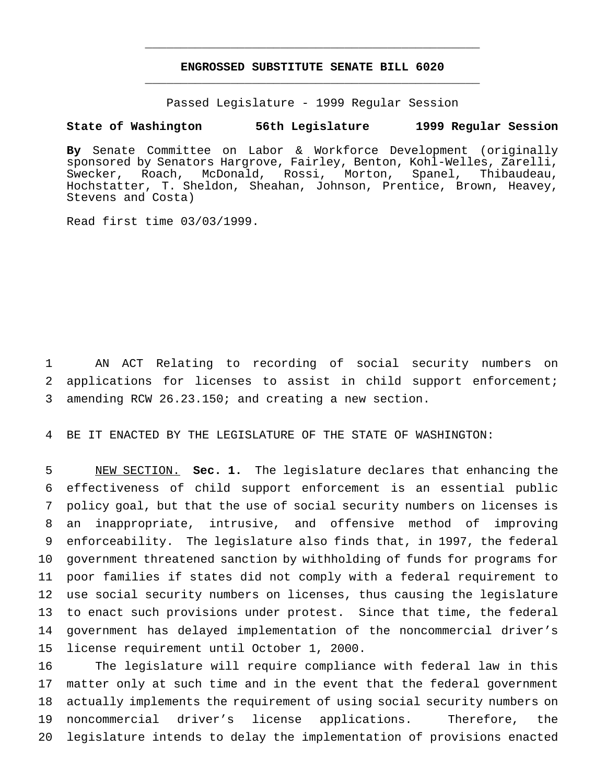## **ENGROSSED SUBSTITUTE SENATE BILL 6020** \_\_\_\_\_\_\_\_\_\_\_\_\_\_\_\_\_\_\_\_\_\_\_\_\_\_\_\_\_\_\_\_\_\_\_\_\_\_\_\_\_\_\_\_\_\_\_

\_\_\_\_\_\_\_\_\_\_\_\_\_\_\_\_\_\_\_\_\_\_\_\_\_\_\_\_\_\_\_\_\_\_\_\_\_\_\_\_\_\_\_\_\_\_\_

Passed Legislature - 1999 Regular Session

## **State of Washington 56th Legislature 1999 Regular Session**

**By** Senate Committee on Labor & Workforce Development (originally sponsored by Senators Hargrove, Fairley, Benton, Kohl-Welles, Zarelli, Swecker, Roach, McDonald, Rossi, Morton, Spanel, Thibaudeau, Hochstatter, T. Sheldon, Sheahan, Johnson, Prentice, Brown, Heavey, Stevens and Costa)

Read first time 03/03/1999.

 AN ACT Relating to recording of social security numbers on applications for licenses to assist in child support enforcement; amending RCW 26.23.150; and creating a new section.

BE IT ENACTED BY THE LEGISLATURE OF THE STATE OF WASHINGTON:

 NEW SECTION. **Sec. 1.** The legislature declares that enhancing the effectiveness of child support enforcement is an essential public policy goal, but that the use of social security numbers on licenses is an inappropriate, intrusive, and offensive method of improving enforceability. The legislature also finds that, in 1997, the federal government threatened sanction by withholding of funds for programs for poor families if states did not comply with a federal requirement to use social security numbers on licenses, thus causing the legislature to enact such provisions under protest. Since that time, the federal government has delayed implementation of the noncommercial driver's license requirement until October 1, 2000.

 The legislature will require compliance with federal law in this matter only at such time and in the event that the federal government actually implements the requirement of using social security numbers on noncommercial driver's license applications. Therefore, the legislature intends to delay the implementation of provisions enacted